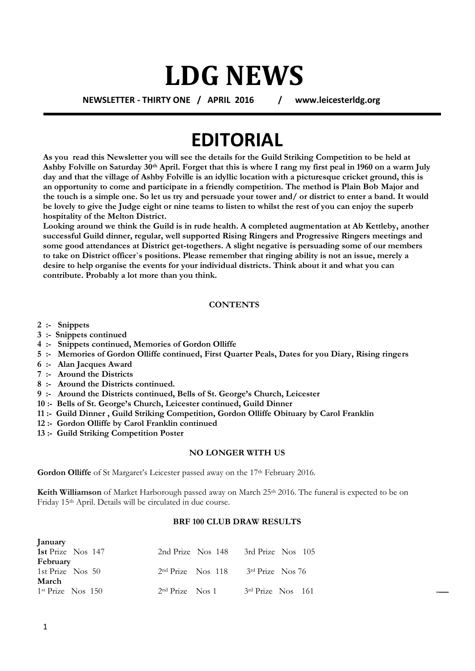## **LDG NEWS**

**NEWSLETTER - THIRTY ONE / APRIL 2016 / www.leicesterldg.org**

### **EDITORIAL**

**As you read this Newsletter you will see the details for the Guild Striking Competition to be held at Ashby Folville on Saturday 30th April. Forget that this is where I rang my first peal in 1960 on a warm July day and that the village of Ashby Folville is an idyllic location with a picturesque cricket ground, this is an opportunity to come and participate in a friendly competition. The method is Plain Bob Major and the touch is a simple one. So let us try and persuade your tower and/ or district to enter a band. It would be lovely to give the Judge eight or nine teams to listen to whilst the rest of you can enjoy the superb hospitality of the Melton District.**

**Looking around we think the Guild is in rude health. A completed augmentation at Ab Kettleby, another successful Guild dinner, regular, well supported Rising Ringers and Progressive Ringers meetings and some good attendances at District get-togethers. A slight negative is persuading some of our members to take on District officer`s positions. Please remember that ringing ability is not an issue, merely a desire to help organise the events for your individual districts. Think about it and what you can contribute. Probably a lot more than you think.**

#### **CONTENTS**

- **2 :- Snippets**
- **3 :- Snippets continued**
- **4 :- Snippets continued, Memories of Gordon Olliffe**
- **5 :- Memories of Gordon Olliffe continued, First Quarter Peals, Dates for you Diary, Rising ringers**
- **6 :- Alan Jacques Award**
- **7 :- Around the Districts**
- **8 :- Around the Districts continued.**
- **9 :- Around the Districts continued, Bells of St. George's Church, Leicester**
- **10 :- Bells of St. George's Church, Leicester continued, Guild Dinner**
- **11 :- Guild Dinner , Guild Striking Competition, Gordon Olliffe Obituary by Carol Franklin**
- **12 :- Gordon Olliffe by Carol Franklin continued**
- **13 :- Guild Striking Competition Poster**

#### **NO LONGER WITH US**

Gordon Olliffe of St Margaret's Leicester passed away on the 17<sup>th</sup> February 2016.

**Keith Williamson** of Market Harborough passed away on March 25<sup>th</sup> 2016. The funeral is expected to be on Friday 15th April. Details will be circulated in due course.

#### **BRF 100 CLUB DRAW RESULTS**

| January                    |                   |                     |                     |  |
|----------------------------|-------------------|---------------------|---------------------|--|
| 1st Prize Nos 147          |                   | 2nd Prize Nos 148   | 3rd Prize Nos 105   |  |
| February                   |                   |                     |                     |  |
| 1st Prize $\text{Nos } 50$ |                   | $2nd Prize$ Nos 118 | $3rd Prize$ Nos 76  |  |
| March                      |                   |                     |                     |  |
| $1st Prize$ Nos $150$      | $2nd$ Prize Nos 1 |                     | $3rd$ Prize Nos 161 |  |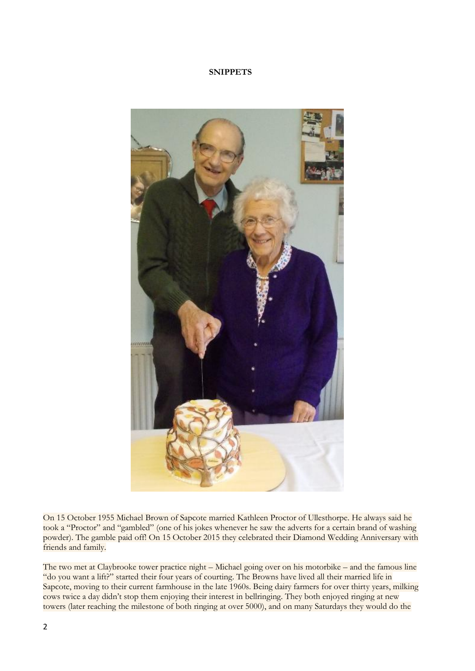#### **SNIPPETS**



On 15 October 1955 Michael Brown of Sapcote married Kathleen Proctor of Ullesthorpe. He always said he took a "Proctor" and "gambled" (one of his jokes whenever he saw the adverts for a certain brand of washing powder). The gamble paid off! On 15 October 2015 they celebrated their Diamond Wedding Anniversary with friends and family.

The two met at Claybrooke tower practice night – Michael going over on his motorbike – and the famous line "do you want a lift?" started their four years of courting. The Browns have lived all their married life in Sapcote, moving to their current farmhouse in the late 1960s. Being dairy farmers for over thirty years, milking cows twice a day didn't stop them enjoying their interest in bellringing. They both enjoyed ringing at new towers (later reaching the milestone of both ringing at over 5000), and on many Saturdays they would do the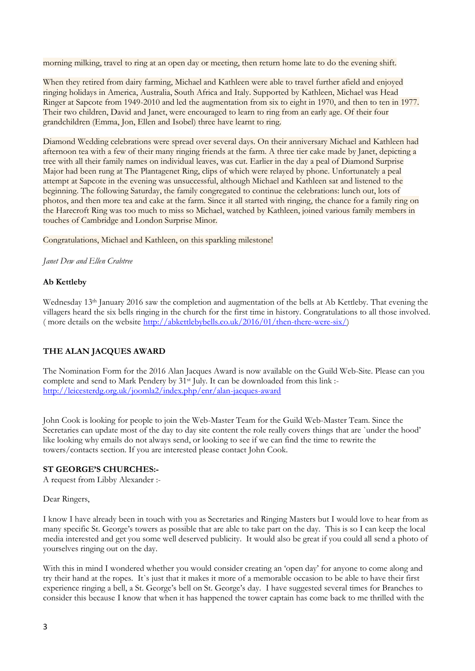morning milking, travel to ring at an open day or meeting, then return home late to do the evening shift.

When they retired from dairy farming, Michael and Kathleen were able to travel further afield and enjoyed ringing holidays in America, Australia, South Africa and Italy. Supported by Kathleen, Michael was Head Ringer at Sapcote from 1949-2010 and led the augmentation from six to eight in 1970, and then to ten in 1977. Their two children, David and Janet, were encouraged to learn to ring from an early age. Of their four grandchildren (Emma, Jon, Ellen and Isobel) three have learnt to ring.

Diamond Wedding celebrations were spread over several days. On their anniversary Michael and Kathleen had afternoon tea with a few of their many ringing friends at the farm. A three tier cake made by Janet, depicting a tree with all their family names on individual leaves, was cut. Earlier in the day a peal of Diamond Surprise Major had been rung at The Plantagenet Ring, clips of which were relayed by phone. Unfortunately a peal attempt at Sapcote in the evening was unsuccessful, although Michael and Kathleen sat and listened to the beginning. The following Saturday, the family congregated to continue the celebrations: lunch out, lots of photos, and then more tea and cake at the farm. Since it all started with ringing, the chance for a family ring on the Harecroft Ring was too much to miss so Michael, watched by Kathleen, joined various family members in touches of Cambridge and London Surprise Minor.

Congratulations, Michael and Kathleen, on this sparkling milestone!

*Janet Dew and Ellen Crabtree*

#### **Ab Kettleby**

Wednesday 13<sup>th</sup> January 2016 saw the completion and augmentation of the bells at Ab Kettleby. That evening the villagers heard the six bells ringing in the church for the first time in history. Congratulations to all those involved. ( more details on the website [http://abkettlebybells.co.uk/2016/01/then-there-were-six/\)](http://abkettlebybells.co.uk/2016/01/then-there-were-six/)

#### **THE ALAN JACQUES AWARD**

The Nomination Form for the 2016 Alan Jacques Award is now available on the Guild Web-Site. Please can you complete and send to Mark Pendery by 31<sup>st</sup> July. It can be downloaded from this link :<http://leicesterdg.org.uk/joomla2/index.php/enr/alan-jacques-award>

John Cook is looking for people to join the Web-Master Team for the Guild Web-Master Team. Since the Secretaries can update most of the day to day site content the role really covers things that are `under the hood' like looking why emails do not always send, or looking to see if we can find the time to rewrite the towers/contacts section. If you are interested please contact John Cook.

#### **ST GEORGE'S CHURCHES:-**

A request from Libby Alexander :-

Dear Ringers,

I know I have already been in touch with you as Secretaries and Ringing Masters but I would love to hear from as many specific St. George's towers as possible that are able to take part on the day. This is so I can keep the local media interested and get you some well deserved publicity. It would also be great if you could all send a photo of yourselves ringing out on the day.

With this in mind I wondered whether you would consider creating an 'open day' for anyone to come along and try their hand at the ropes. It`s just that it makes it more of a memorable occasion to be able to have their first experience ringing a bell, a St. George's bell on St. George's day. I have suggested several times for Branches to consider this because I know that when it has happened the tower captain has come back to me thrilled with the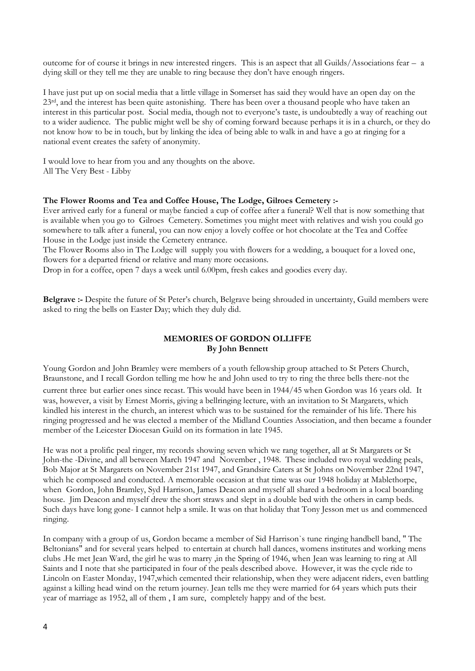outcome for of course it brings in new interested ringers. This is an aspect that all Guilds/Associations fear – a dying skill or they tell me they are unable to ring because they don't have enough ringers.

I have just put up on social media that a little village in Somerset has said they would have an open day on the 23<sup>rd</sup>, and the interest has been quite astonishing. There has been over a thousand people who have taken an interest in this particular post. Social media, though not to everyone's taste, is undoubtedly a way of reaching out to a wider audience. The public might well be shy of coming forward because perhaps it is in a church, or they do not know how to be in touch, but by linking the idea of being able to walk in and have a go at ringing for a national event creates the safety of anonymity.

I would love to hear from you and any thoughts on the above. All The Very Best - Libby

#### **The Flower Rooms and Tea and Coffee House, The Lodge, Gilroes Cemetery :-**

Ever arrived early for a funeral or maybe fancied a cup of coffee after a funeral? Well that is now something that is available when you go to Gilroes Cemetery. Sometimes you might meet with relatives and wish you could go somewhere to talk after a funeral, you can now enjoy a lovely coffee or hot chocolate at the Tea and Coffee House in the Lodge just inside the Cemetery entrance.

The Flower Rooms also in The Lodge will supply you with flowers for a wedding, a bouquet for a loved one, flowers for a departed friend or relative and many more occasions.

Drop in for a coffee, open 7 days a week until 6.00pm, fresh cakes and goodies every day.

**Belgrave :-** Despite the future of St Peter's church, Belgrave being shrouded in uncertainty, Guild members were asked to ring the bells on Easter Day; which they duly did.

#### **MEMORIES OF GORDON OLLIFFE By John Bennett**

Young Gordon and John Bramley were members of a youth fellowship group attached to St Peters Church, Braunstone, and I recall Gordon telling me how he and John used to try to ring the three bells there-not the current three but earlier ones since recast. This would have been in 1944/45 when Gordon was 16 years old. It was, however, a visit by Ernest Morris, giving a bellringing lecture, with an invitation to St Margarets, which kindled his interest in the church, an interest which was to be sustained for the remainder of his life. There his ringing progressed and he was elected a member of the Midland Counties Association, and then became a founder member of the Leicester Diocesan Guild on its formation in late 1945.

He was not a prolific peal ringer, my records showing seven which we rang together, all at St Margarets or St John-the -Divine, and all between March 1947 and November , 1948. These included two royal wedding peals, Bob Major at St Margarets on November 21st 1947, and Grandsire Caters at St Johns on November 22nd 1947, which he composed and conducted. A memorable occasion at that time was our 1948 holiday at Mablethorpe, when Gordon, John Bramley, Syd Harrison, James Deacon and myself all shared a bedroom in a local boarding house. Jim Deacon and myself drew the short straws and slept in a double bed with the others in camp beds. Such days have long gone- I cannot help a smile. It was on that holiday that Tony Jesson met us and commenced ringing.

In company with a group of us, Gordon became a member of Sid Harrison`s tune ringing handbell band, " The Beltonians" and for several years helped to entertain at church hall dances, womens institutes and working mens clubs .He met Jean Ward, the girl he was to marry ,in the Spring of 1946, when Jean was learning to ring at All Saints and I note that she participated in four of the peals described above. However, it was the cycle ride to Lincoln on Easter Monday, 1947,which cemented their relationship, when they were adjacent riders, even battling against a killing head wind on the return journey. Jean tells me they were married for 64 years which puts their year of marriage as 1952, all of them , I am sure, completely happy and of the best.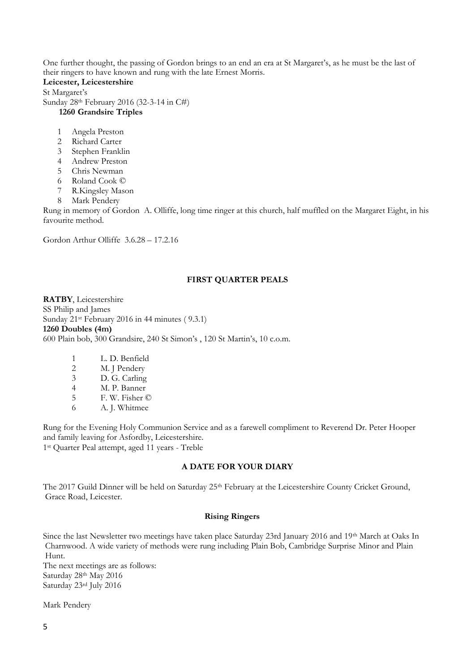One further thought, the passing of Gordon brings to an end an era at St Margaret's, as he must be the last of their ringers to have known and rung with the late Ernest Morris.

**Leicester, Leicestershire**

St Margaret's Sunday 28th February 2016 (32-3-14 in C#) **1260 Grandsire Triples**

- 1 Angela Preston
- 2 Richard Carter
- 3 Stephen Franklin
- 4 Andrew Preston
- 5 Chris Newman
- 6 Roland Cook ©
- 7 R.Kingsley Mason
- 8 Mark Pendery

Rung in memory of Gordon A. Olliffe, long time ringer at this church, half muffled on the Margaret Eight, in his favourite method.

Gordon Arthur Olliffe 3.6.28 – 17.2.16

#### **FIRST QUARTER PEALS**

**RATBY**, Leicestershire SS Philip and James Sunday 21<sup>st</sup> February 2016 in 44 minutes (9.3.1) **1260 Doubles (4m)** 600 Plain bob, 300 Grandsire, 240 St Simon's , 120 St Martin's, 10 c.o.m.

- 1 L. D. Benfield
- 2 M. J Pendery 3 D. G. Carling
- 
- 4 M. P. Banner<br>5 F. W. Fisher ( 5 F. W. Fisher ©
- 
- 6 A. J. Whitmee

Rung for the Evening Holy Communion Service and as a farewell compliment to Reverend Dr. Peter Hooper and family leaving for Asfordby, Leicestershire. 1 st Quarter Peal attempt, aged 11 years - Treble

#### **A DATE FOR YOUR DIARY**

The 2017 Guild Dinner will be held on Saturday 25<sup>th</sup> February at the Leicestershire County Cricket Ground, Grace Road, Leicester.

#### **Rising Ringers**

Since the last Newsletter two meetings have taken place Saturday 23rd January 2016 and 19th March at Oaks In Charnwood. A wide variety of methods were rung including Plain Bob, Cambridge Surprise Minor and Plain Hunt.

The next meetings are as follows: Saturday 28th May 2016 Saturday 23rd July 2016

Mark Pendery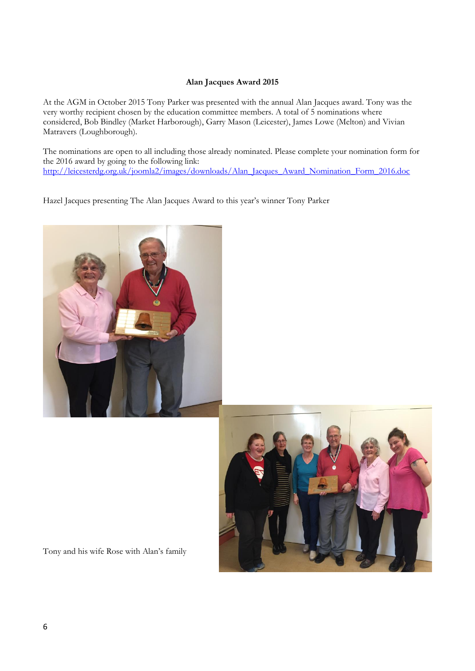#### **Alan Jacques Award 2015**

At the AGM in October 2015 Tony Parker was presented with the annual Alan Jacques award. Tony was the very worthy recipient chosen by the education committee members. A total of 5 nominations where considered, Bob Bindley (Market Harborough), Garry Mason (Leicester), James Lowe (Melton) and Vivian Matravers (Loughborough).

The nominations are open to all including those already nominated. Please complete your nomination form for the 2016 award by going to the following link: [http://leicesterdg.org.uk/joomla2/images/downloads/Alan\\_Jacques\\_Award\\_Nomination\\_Form\\_2016.doc](http://leicesterdg.org.uk/joomla2/images/downloads/Alan_Jacques_Award_Nomination_Form_2016.doc)

Hazel Jacques presenting The Alan Jacques Award to this year's winner Tony Parker





Tony and his wife Rose with Alan's family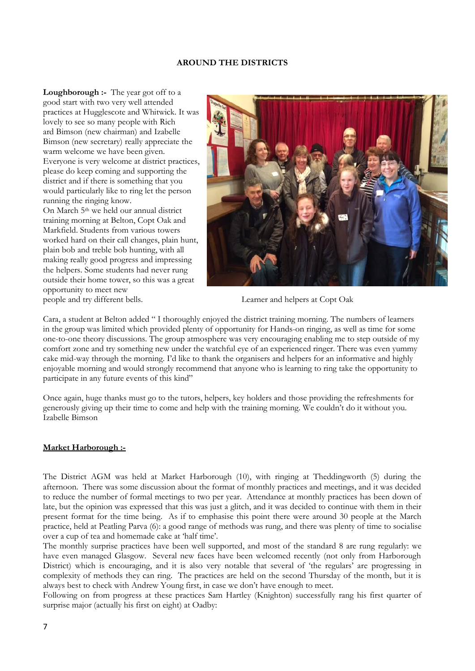#### **AROUND THE DISTRICTS**

**Loughborough :-** The year got off to a good start with two very well attended practices at Hugglescote and Whitwick. It was lovely to see so many people with Rich ard Bimson (new chairman) and Izabelle Bimson (new secretary) really appreciate the warm welcome we have been given. Everyone is very welcome at district practices, please do keep coming and supporting the district and if there is something that you would particularly like to ring let the person running the ringing know.

On March 5th we held our annual district training morning at Belton, Copt Oak and Markfield. Students from various towers worked hard on their call changes, plain hunt, plain bob and treble bob hunting, with all making really good progress and impressing the helpers. Some students had never rung outside their home tower, so this was a great opportunity to meet new



people and try different bells. Learner and helpers at Copt Oak

Cara, a student at Belton added " I thoroughly enjoyed the district training morning. The numbers of learners in the group was limited which provided plenty of opportunity for Hands-on ringing, as well as time for some one-to-one theory discussions. The group atmosphere was very encouraging enabling me to step outside of my comfort zone and try something new under the watchful eye of an experienced ringer. There was even yummy cake mid-way through the morning. I'd like to thank the organisers and helpers for an informative and highly enjoyable morning and would strongly recommend that anyone who is learning to ring take the opportunity to participate in any future events of this kind"

Once again, huge thanks must go to the tutors, helpers, key holders and those providing the refreshments for generously giving up their time to come and help with the training morning. We couldn't do it without you. Izabelle Bimson

#### **Market Harborough :-**

The District AGM was held at Market Harborough (10), with ringing at Theddingworth (5) during the afternoon. There was some discussion about the format of monthly practices and meetings, and it was decided to reduce the number of formal meetings to two per year. Attendance at monthly practices has been down of late, but the opinion was expressed that this was just a glitch, and it was decided to continue with them in their present format for the time being. As if to emphasise this point there were around 30 people at the March practice, held at Peatling Parva (6): a good range of methods was rung, and there was plenty of time to socialise over a cup of tea and homemade cake at 'half time'.

The monthly surprise practices have been well supported, and most of the standard 8 are rung regularly: we have even managed Glasgow. Several new faces have been welcomed recently (not only from Harborough District) which is encouraging, and it is also very notable that several of 'the regulars' are progressing in complexity of methods they can ring. The practices are held on the second Thursday of the month, but it is always best to check with Andrew Young first, in case we don't have enough to meet.

Following on from progress at these practices Sam Hartley (Knighton) successfully rang his first quarter of surprise major (actually his first on eight) at Oadby: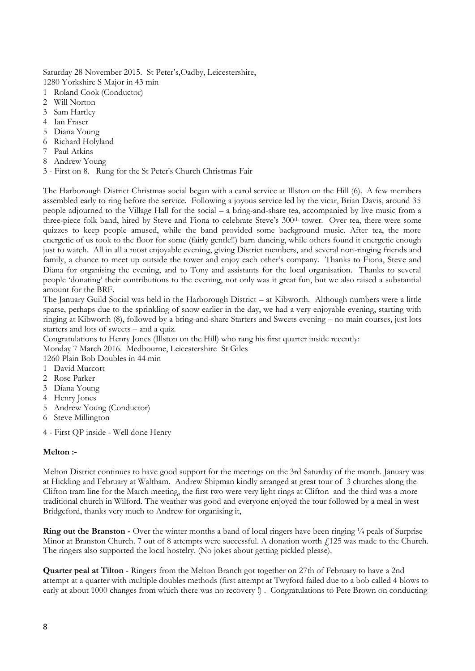Saturday 28 November 2015. St Peter's,Oadby, Leicestershire, 1280 Yorkshire S Major in 43 min

- 1 Roland Cook (Conductor)
- 2 Will Norton
- 3 Sam Hartley
- 4 Ian Fraser
- 5 Diana Young
- 6 Richard Holyland
- 7 Paul Atkins
- 8 Andrew Young
- 3 First on 8. Rung for the St Peter's Church Christmas Fair

The Harborough District Christmas social began with a carol service at Illston on the Hill (6). A few members assembled early to ring before the service. Following a joyous service led by the vicar, Brian Davis, around 35 people adjourned to the Village Hall for the social – a bring-and-share tea, accompanied by live music from a three-piece folk band, hired by Steve and Fiona to celebrate Steve's 300<sup>th</sup> tower. Over tea, there were some quizzes to keep people amused, while the band provided some background music. After tea, the more energetic of us took to the floor for some (fairly gentle!!) barn dancing, while others found it energetic enough just to watch. All in all a most enjoyable evening, giving District members, and several non-ringing friends and family, a chance to meet up outside the tower and enjoy each other's company. Thanks to Fiona, Steve and Diana for organising the evening, and to Tony and assistants for the local organisation. Thanks to several people 'donating' their contributions to the evening, not only was it great fun, but we also raised a substantial amount for the BRF.

The January Guild Social was held in the Harborough District – at Kibworth. Although numbers were a little sparse, perhaps due to the sprinkling of snow earlier in the day, we had a very enjoyable evening, starting with ringing at Kibworth (8), followed by a bring-and-share Starters and Sweets evening – no main courses, just lots starters and lots of sweets – and a quiz.

Congratulations to Henry Jones (Illston on the Hill) who rang his first quarter inside recently: Monday 7 March 2016. Medbourne, Leicestershire St Giles

1260 Plain Bob Doubles in 44 min

- 1 David Murcott
- 2 Rose Parker
- 3 Diana Young
- 4 Henry Jones
- 5 Andrew Young (Conductor)
- 6 Steve Millington
- 4 First QP inside Well done Henry

#### **Melton :-**

Melton District continues to have good support for the meetings on the 3rd Saturday of the month. January was at Hickling and February at Waltham. Andrew Shipman kindly arranged at great tour of 3 churches along the Clifton tram line for the March meeting, the first two were very light rings at Clifton and the third was a more traditional church in Wilford. The weather was good and everyone enjoyed the tour followed by a meal in west Bridgeford, thanks very much to Andrew for organising it,

**Ring out the Branston -** Over the winter months a band of local ringers have been ringing 1/4 peals of Surprise Minor at Branston Church. 7 out of 8 attempts were successful. A donation worth  $\ell$ 125 was made to the Church. The ringers also supported the local hostelry. (No jokes about getting pickled please).

**Quarter peal at Tilton** - Ringers from the Melton Branch got together on 27th of February to have a 2nd attempt at a quarter with multiple doubles methods (first attempt at Twyford failed due to a bob called 4 blows to early at about 1000 changes from which there was no recovery  $\hat{I}$ ). Congratulations to Pete Brown on conducting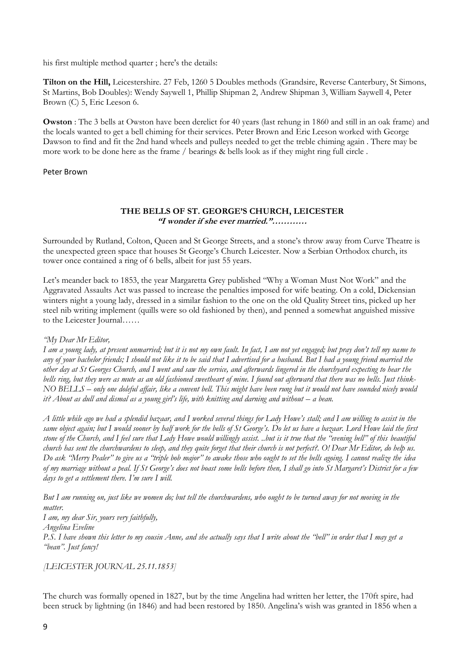his first multiple method quarter ; here's the details:

**Tilton on the Hill,** Leicestershire. 27 Feb, 1260 5 Doubles methods (Grandsire, Reverse Canterbury, St Simons, St Martins, Bob Doubles): Wendy Saywell 1, Phillip Shipman 2, Andrew Shipman 3, William Saywell 4, Peter Brown (C) 5, Eric Leeson 6.

**Owston** : The 3 bells at Owston have been derelict for 40 years (last rehung in 1860 and still in an oak frame) and the locals wanted to get a bell chiming for their services. Peter Brown and Eric Leeson worked with George Dawson to find and fit the 2nd hand wheels and pulleys needed to get the treble chiming again . There may be more work to be done here as the frame / bearings & bells look as if they might ring full circle .

#### Peter Brown

#### **THE BELLS OF ST. GEORGE'S CHURCH, LEICESTER "I wonder if she ever married."…………**

Surrounded by Rutland, Colton, Queen and St George Streets, and a stone's throw away from Curve Theatre is the unexpected green space that houses St George's Church Leicester. Now a Serbian Orthodox church, its tower once contained a ring of 6 bells, albeit for just 55 years.

Let's meander back to 1853, the year Margaretta Grey published "Why a Woman Must Not Work" and the Aggravated Assaults Act was passed to increase the penalties imposed for wife beating. On a cold, Dickensian winters night a young lady, dressed in a similar fashion to the one on the old Quality Street tins, picked up her steel nib writing implement (quills were so old fashioned by then), and penned a somewhat anguished missive to the Leicester Journal……

#### *"My Dear Mr Editor,*

*I am a young lady, at present unmarried; but it is not my own fault. In fact, I am not yet engaged; but pray don't tell my name to any of your bachelor friends; I should not like it to be said that I advertised for a husband. But I had a young friend married the other day at St Georges Church, and I went and saw the service, and afterwards lingered in the churchyard expecting to hear the bells ring, but they were as mute as an old fashioned sweetheart of mine. I found out afterward that there was no bells. Just think-NO BELLS – only one doleful affair, like a convent bell. This might have been rung but it would not have sounded nicely would it? About as dull and dismal as a young girl's life, with knitting and darning and without – a bean.*

*A little while ago we had a splendid bazaar, and I worked several things for Lady Howe's stall; and I am willing to assist in the same object again; but I would sooner by half work for the bells of St George's. Do let us have a bazaar. Lord Howe laid the first stone of the Church, and I feel sure that Lady Howe would willingly assist. ..but is it true that the "evening bell" of this beautiful church has sent the churchwardens to sleep, and they quite forget that their church is not perfect?. O! Dear Mr Editor, do help us. Do ask "Merry Pealer" to give us a "triple bob major" to awake those who ought to set the bells agoing. I cannot realize the idea of my marriage without a peal. If St George's does not boast some bells before then, I shall go into St Margaret's District for a few days to get a settlement there. I'm sure I will.*

*But I am running on, just like we women do; but tell the churchwardens, who ought to be turned away for not moving in the matter.*

*I am, my dear Sir, yours very faithfully,*

*Angelina Eveline*

*P.S. I have shown this letter to my cousin Anne, and she actually says that I write about the "bell" in order that I may get a "bean". Just fancy!*

*[LEICESTER JOURNAL 25.11.1853]*

The church was formally opened in 1827, but by the time Angelina had written her letter, the 170ft spire, had been struck by lightning (in 1846) and had been restored by 1850. Angelina's wish was granted in 1856 when a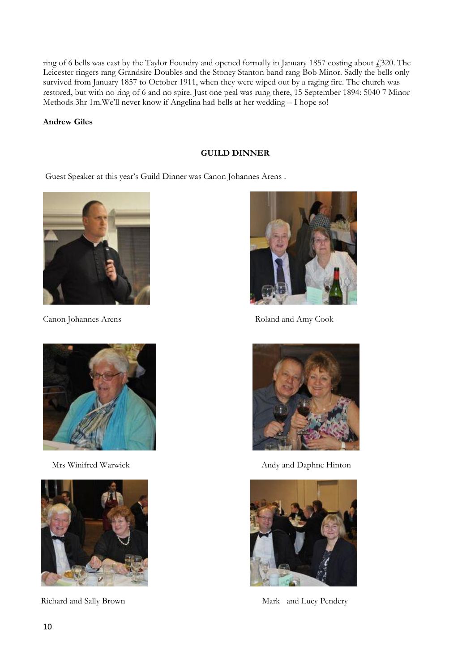ring of 6 bells was cast by the Taylor Foundry and opened formally in January 1857 costing about  $\mathcal{L}$  320. The Leicester ringers rang Grandsire Doubles and the Stoney Stanton band rang Bob Minor. Sadly the bells only survived from January 1857 to October 1911, when they were wiped out by a raging fire. The church was restored, but with no ring of 6 and no spire. Just one peal was rung there, 15 September 1894: 5040 7 Minor Methods 3hr 1m.We'll never know if Angelina had bells at her wedding – I hope so!

#### **Andrew Giles**

#### **GUILD DINNER**

Guest Speaker at this year's Guild Dinner was Canon Johannes Arens .









Canon Johannes Arens **Roland and Amy Cook** 



Mrs Winifred Warwick Andy and Daphne Hinton



Richard and Sally Brown Mark and Lucy Pendery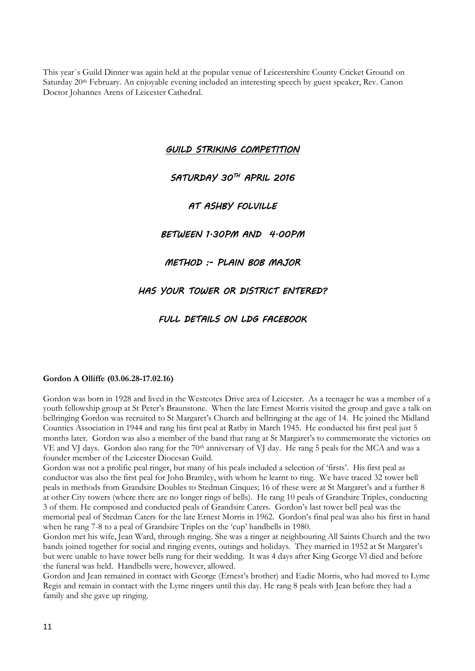This year`s Guild Dinner was again held at the popular venue of Leicestershire County Cricket Ground on Saturday 20<sup>th</sup> February. An enjoyable evening included an interesting speech by guest speaker, Rev. Canon Doctor Johannes Arens of Leicester Cathedral.

*GUILD STRIKING COMPETITION* 

#### *SATURDAY 30TH APRIL 2016*

#### *AT ASHBY FOLVILLE*

#### *BETWEEN 1.30PM AND 4.00PM*

#### *METHOD :- PLAIN BOB MAJOR*

#### *HAS YOUR TOWER OR DISTRICT ENTERED?*

#### *FULL DETAILS ON LDG FACEBOOK*

#### **Gordon A Olliffe (03.06.28-17.02.16)**

Gordon was born in 1928 and lived in the Westcotes Drive area of Leicester. As a teenager he was a member of a youth fellowship group at St Peter's Braunstone. When the late Ernest Morris visited the group and gave a talk on bellringing Gordon was recruited to St Margaret's Church and bellringing at the age of 14. He joined the Midland Counties Association in 1944 and rang his first peal at Ratby in March 1945. He conducted his first peal just 5 months later. Gordon was also a member of the band that rang at St Margaret's to commemorate the victories on VE and VJ days. Gordon also rang for the 70<sup>th</sup> anniversary of VJ day. He rang 5 peals for the MCA and was a founder member of the Leicester Diocesan Guild.

Gordon was not a prolific peal ringer, but many of his peals included a selection of 'firsts'. His first peal as conductor was also the first peal for John Bramley, with whom he learnt to ring. We have traced 32 tower bell peals in methods from Grandsire Doubles to Stedman Cinques; 16 of these were at St Margaret's and a further 8 at other City towers (where there are no longer rings of bells). He rang 10 peals of Grandsire Triples, conducting 3 of them. He composed and conducted peals of Grandsire Caters. Gordon's last tower bell peal was the memorial peal of Stedman Caters for the late Ernest Morris in 1962. Gordon's final peal was also his first in hand when he rang 7-8 to a peal of Grandsire Triples on the 'cup' handbells in 1980.

Gordon met his wife, Jean Ward, through ringing. She was a ringer at neighbouring All Saints Church and the two bands joined together for social and ringing events, outings and holidays. They married in 1952 at St Margaret's but were unable to have tower bells rung for their wedding. It was 4 days after King George Vl died and before the funeral was held. Handbells were, however, allowed.

Gordon and Jean remained in contact with George (Ernest's brother) and Eadie Morris, who had moved to Lyme Regis and remain in contact with the Lyme ringers until this day. He rang 8 peals with Jean before they had a family and she gave up ringing.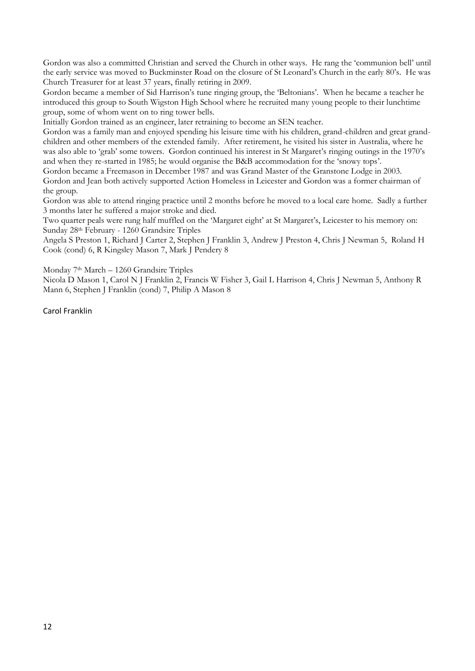Gordon was also a committed Christian and served the Church in other ways. He rang the 'communion bell' until the early service was moved to Buckminster Road on the closure of St Leonard's Church in the early 80's. He was Church Treasurer for at least 37 years, finally retiring in 2009.

Gordon became a member of Sid Harrison's tune ringing group, the 'Beltonians'. When he became a teacher he introduced this group to South Wigston High School where he recruited many young people to their lunchtime group, some of whom went on to ring tower bells.

Initially Gordon trained as an engineer, later retraining to become an SEN teacher.

Gordon was a family man and enjoyed spending his leisure time with his children, grand-children and great grandchildren and other members of the extended family. After retirement, he visited his sister in Australia, where he was also able to 'grab' some towers. Gordon continued his interest in St Margaret's ringing outings in the 1970's and when they re-started in 1985; he would organise the B&B accommodation for the 'snowy tops'.

Gordon became a Freemason in December 1987 and was Grand Master of the Granstone Lodge in 2003. Gordon and Jean both actively supported Action Homeless in Leicester and Gordon was a former chairman of the group.

Gordon was able to attend ringing practice until 2 months before he moved to a local care home. Sadly a further 3 months later he suffered a major stroke and died.

Two quarter peals were rung half muffled on the 'Margaret eight' at St Margaret's, Leicester to his memory on: Sunday 28th February - 1260 Grandsire Triples

Angela S Preston 1, Richard J Carter 2, Stephen J Franklin 3, Andrew J Preston 4, Chris J Newman 5, Roland H Cook (cond) 6, R Kingsley Mason 7, Mark J Pendery 8

Monday 7th March – 1260 Grandsire Triples

Nicola D Mason 1, Carol N J Franklin 2, Francis W Fisher 3, Gail L Harrison 4, Chris J Newman 5, Anthony R Mann 6, Stephen J Franklin (cond) 7, Philip A Mason 8

Carol Franklin